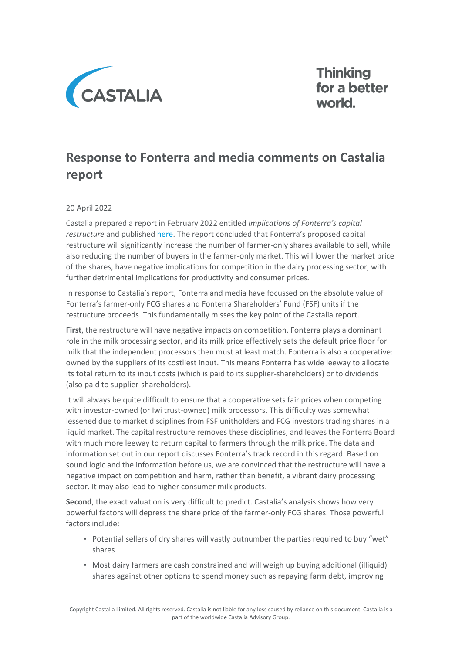

**Thinking** for a better world.

## **Response to Fonterra and media comments on Castalia report**

## 20 April 2022

Castalia prepared a report in February 2022 entitled *Implications of Fonterra's capital restructure* and publishe[d here.](https://castalia-advisors.com/wp-content/uploads/2022/04/Implications-of-Fonterra-Capital-Restructure-Report-to-Open-Country-Dairy-210222.pdf) The report concluded that Fonterra's proposed capital restructure will significantly increase the number of farmer-only shares available to sell, while also reducing the number of buyers in the farmer-only market. This will lower the market price of the shares, have negative implications for competition in the dairy processing sector, with further detrimental implications for productivity and consumer prices.

In response to Castalia's report, Fonterra and media have focussed on the absolute value of Fonterra's farmer-only FCG shares and Fonterra Shareholders' Fund (FSF) units if the restructure proceeds. This fundamentally misses the key point of the Castalia report.

**First**, the restructure will have negative impacts on competition. Fonterra plays a dominant role in the milk processing sector, and its milk price effectively sets the default price floor for milk that the independent processors then must at least match. Fonterra is also a cooperative: owned by the suppliers of its costliest input. This means Fonterra has wide leeway to allocate its total return to its input costs (which is paid to its supplier-shareholders) or to dividends (also paid to supplier-shareholders).

It will always be quite difficult to ensure that a cooperative sets fair prices when competing with investor-owned (or Iwi trust-owned) milk processors. This difficulty was somewhat lessened due to market disciplines from FSF unitholders and FCG investors trading shares in a liquid market. The capital restructure removes these disciplines, and leaves the Fonterra Board with much more leeway to return capital to farmers through the milk price. The data and information set out in our report discusses Fonterra's track record in this regard. Based on sound logic and the information before us, we are convinced that the restructure will have a negative impact on competition and harm, rather than benefit, a vibrant dairy processing sector. It may also lead to higher consumer milk products.

**Second**, the exact valuation is very difficult to predict. Castalia's analysis shows how very powerful factors will depress the share price of the farmer-only FCG shares. Those powerful factors include:

- Potential sellers of dry shares will vastly outnumber the parties required to buy "wet" shares
- Most dairy farmers are cash constrained and will weigh up buying additional (illiquid) shares against other options to spend money such as repaying farm debt, improving